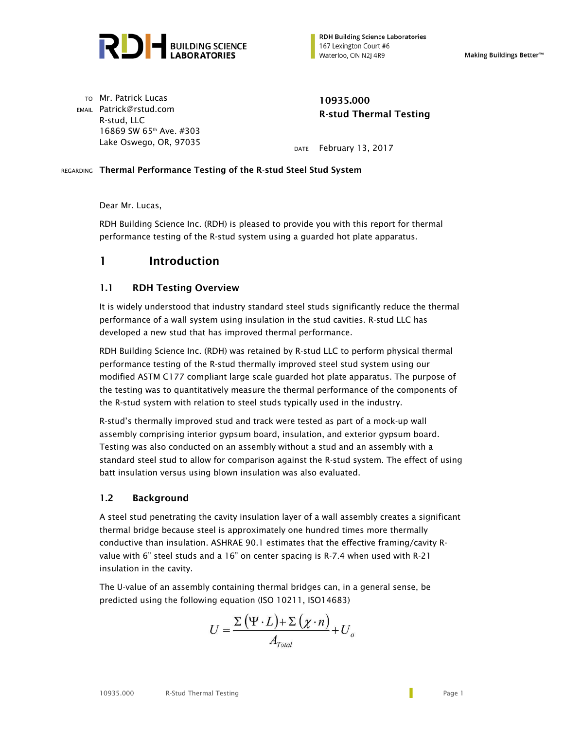

**RDH Building Science Laboratories** 167 Lexington Court #6 Waterloo, ON N2J 4R9

Making Buildings Better<sup>™</sup>

TO Mr. Patrick Lucas **10935.000** EMAIL Patrick@rstud.com R-stud, LLC 16869 SW 65th Ave. #303

# **R-stud Thermal Testing**

Lake Oswego, OR, 97035 DATE February 13, 2017

#### REGARDING Thermal Performance Testing of the R-stud Steel Stud System

Dear Mr. Lucas,

RDH Building Science Inc. (RDH) is pleased to provide you with this report for thermal performance testing of the R-stud system using a guarded hot plate apparatus.

## 1 Introduction

#### 1.1 RDH Testing Overview

It is widely understood that industry standard steel studs significantly reduce the thermal performance of a wall system using insulation in the stud cavities. R-stud LLC has developed a new stud that has improved thermal performance.

RDH Building Science Inc. (RDH) was retained by R-stud LLC to perform physical thermal performance testing of the R-stud thermally improved steel stud system using our modified ASTM C177 compliant large scale guarded hot plate apparatus. The purpose of the testing was to quantitatively measure the thermal performance of the components of the R-stud system with relation to steel studs typically used in the industry.

R-stud's thermally improved stud and track were tested as part of a mock-up wall assembly comprising interior gypsum board, insulation, and exterior gypsum board. Testing was also conducted on an assembly without a stud and an assembly with a standard steel stud to allow for comparison against the R-stud system. The effect of using batt insulation versus using blown insulation was also evaluated.

#### 1.2 Background

A steel stud penetrating the cavity insulation layer of a wall assembly creates a significant thermal bridge because steel is approximately one hundred times more thermally conductive than insulation. ASHRAE 90.1 estimates that the effective framing/cavity Rvalue with 6" steel studs and a 16" on center spacing is R-7.4 when used with R-21 insulation in the cavity.

The U-value of an assembly containing thermal bridges can, in a general sense, be predicted using the following equation (ISO 10211, ISO14683)

$$
U = \frac{\Sigma (\Psi \cdot L) + \Sigma (\chi \cdot n)}{A_{\text{Total}}} + U_o
$$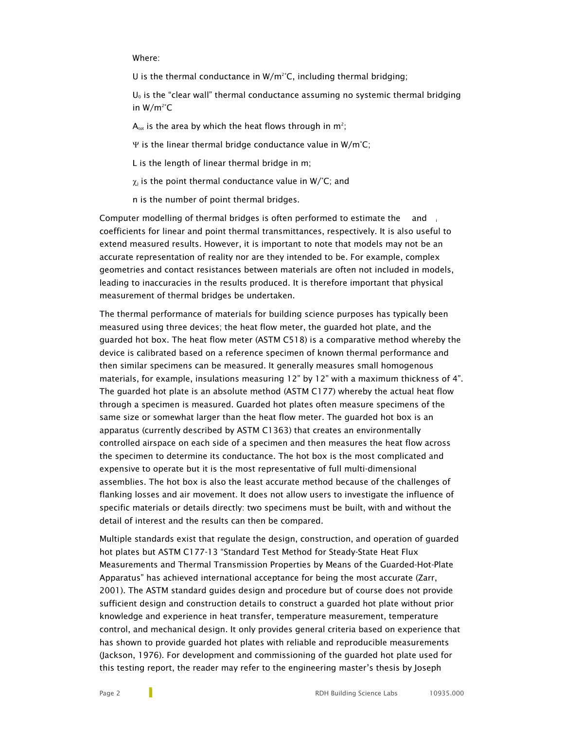#### Where:

U is the thermal conductance in  $W/m^2$ °C, including thermal bridging;

 $U_0$  is the "clear wall" thermal conductance assuming no systemic thermal bridging in W/m2 °C

 $A_{\text{tot}}$  is the area by which the heat flows through in m<sup>2</sup>;

 $\Psi$  is the linear thermal bridge conductance value in W/m°C;

L is the length of linear thermal bridge in m;

 $\chi_i$  is the point thermal conductance value in W/°C; and

n is the number of point thermal bridges.

Computer modelling of thermal bridges is often performed to estimate the and coefficients for linear and point thermal transmittances, respectively. It is also useful to extend measured results. However, it is important to note that models may not be an accurate representation of reality nor are they intended to be. For example, complex geometries and contact resistances between materials are often not included in models, leading to inaccuracies in the results produced. It is therefore important that physical measurement of thermal bridges be undertaken.

The thermal performance of materials for building science purposes has typically been measured using three devices; the heat flow meter, the guarded hot plate, and the guarded hot box. The heat flow meter (ASTM C518) is a comparative method whereby the device is calibrated based on a reference specimen of known thermal performance and then similar specimens can be measured. It generally measures small homogenous materials, for example, insulations measuring 12" by 12" with a maximum thickness of 4". The guarded hot plate is an absolute method (ASTM C177) whereby the actual heat flow through a specimen is measured. Guarded hot plates often measure specimens of the same size or somewhat larger than the heat flow meter. The guarded hot box is an apparatus (currently described by ASTM C1363) that creates an environmentally controlled airspace on each side of a specimen and then measures the heat flow across the specimen to determine its conductance. The hot box is the most complicated and expensive to operate but it is the most representative of full multi-dimensional assemblies. The hot box is also the least accurate method because of the challenges of flanking losses and air movement. It does not allow users to investigate the influence of specific materials or details directly: two specimens must be built, with and without the detail of interest and the results can then be compared.

Multiple standards exist that regulate the design, construction, and operation of guarded hot plates but ASTM C177-13 "Standard Test Method for Steady-State Heat Flux Measurements and Thermal Transmission Properties by Means of the Guarded-Hot-Plate Apparatus" has achieved international acceptance for being the most accurate (Zarr, 2001). The ASTM standard guides design and procedure but of course does not provide sufficient design and construction details to construct a guarded hot plate without prior knowledge and experience in heat transfer, temperature measurement, temperature control, and mechanical design. It only provides general criteria based on experience that has shown to provide guarded hot plates with reliable and reproducible measurements (Jackson, 1976). For development and commissioning of the guarded hot plate used for this testing report, the reader may refer to the engineering master's thesis by Joseph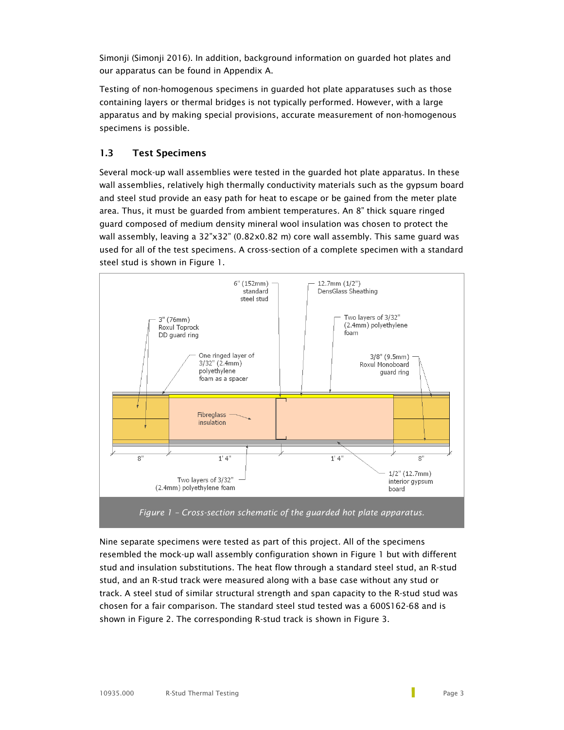Simonji (Simonji 2016). In addition, background information on guarded hot plates and our apparatus can be found in Appendix A.

Testing of non-homogenous specimens in guarded hot plate apparatuses such as those containing layers or thermal bridges is not typically performed. However, with a large apparatus and by making special provisions, accurate measurement of non-homogenous specimens is possible.

#### 1.3 Test Specimens

Several mock-up wall assemblies were tested in the guarded hot plate apparatus. In these wall assemblies, relatively high thermally conductivity materials such as the gypsum board and steel stud provide an easy path for heat to escape or be gained from the meter plate area. Thus, it must be guarded from ambient temperatures. An 8" thick square ringed guard composed of medium density mineral wool insulation was chosen to protect the wall assembly, leaving a 32"x32" (0.82x0.82 m) core wall assembly. This same guard was used for all of the test specimens. A cross-section of a complete specimen with a standard steel stud is shown in Figure 1.



Nine separate specimens were tested as part of this project. All of the specimens resembled the mock-up wall assembly configuration shown in Figure 1 but with different stud and insulation substitutions. The heat flow through a standard steel stud, an R-stud stud, and an R-stud track were measured along with a base case without any stud or track. A steel stud of similar structural strength and span capacity to the R-stud stud was chosen for a fair comparison. The standard steel stud tested was a 600S162-68 and is shown in Figure 2. The corresponding R-stud track is shown in Figure 3.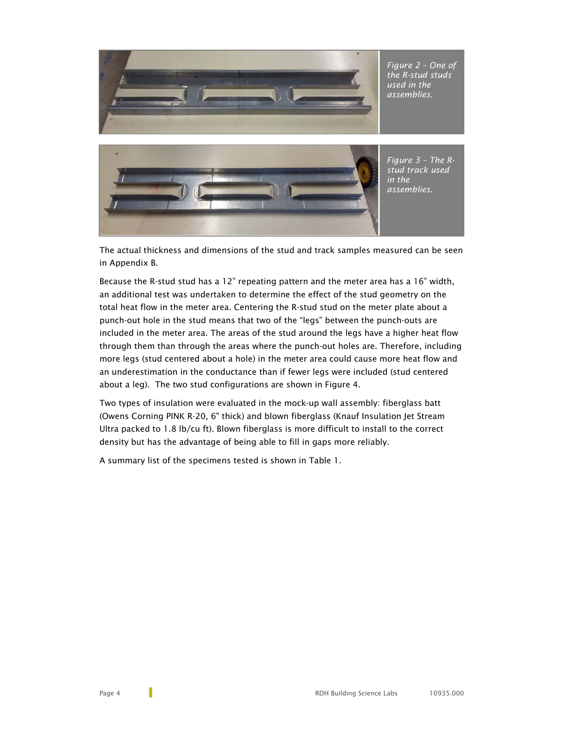



The actual thickness and dimensions of the stud and track samples measured can be seen in Appendix B.

Because the R-stud stud has a 12" repeating pattern and the meter area has a 16" width, an additional test was undertaken to determine the effect of the stud geometry on the total heat flow in the meter area. Centering the R-stud stud on the meter plate about a punch-out hole in the stud means that two of the "legs" between the punch-outs are included in the meter area. The areas of the stud around the legs have a higher heat flow through them than through the areas where the punch-out holes are. Therefore, including more legs (stud centered about a hole) in the meter area could cause more heat flow and an underestimation in the conductance than if fewer legs were included (stud centered about a leg). The two stud configurations are shown in Figure 4.

Two types of insulation were evaluated in the mock-up wall assembly: fiberglass batt (Owens Corning PINK R-20, 6" thick) and blown fiberglass (Knauf Insulation Jet Stream Ultra packed to 1.8 lb/cu ft). Blown fiberglass is more difficult to install to the correct density but has the advantage of being able to fill in gaps more reliably.

A summary list of the specimens tested is shown in Table 1.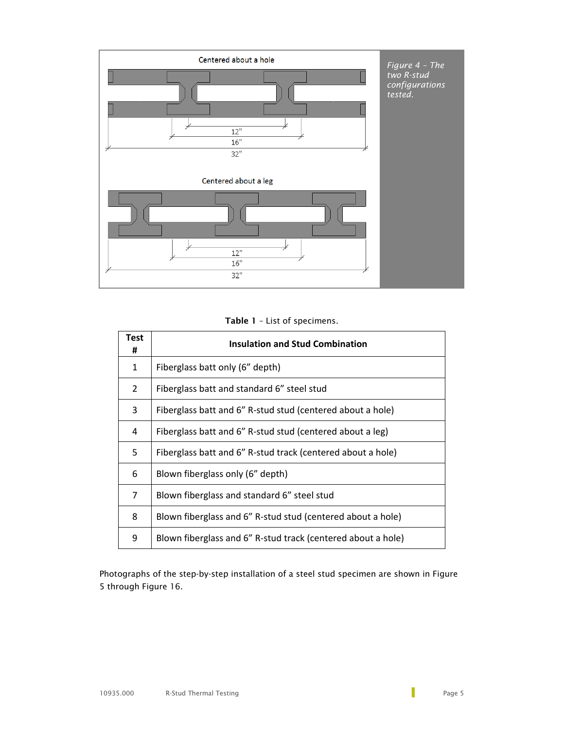

Table 1 – List of specimens.

| Test<br>#      | <b>Insulation and Stud Combination</b>                       |  |  |  |  |
|----------------|--------------------------------------------------------------|--|--|--|--|
| 1              | Fiberglass batt only (6" depth)                              |  |  |  |  |
| $\overline{2}$ | Fiberglass batt and standard 6" steel stud                   |  |  |  |  |
| 3              | Fiberglass batt and 6" R-stud stud (centered about a hole)   |  |  |  |  |
| 4              | Fiberglass batt and 6" R-stud stud (centered about a leg)    |  |  |  |  |
| 5              | Fiberglass batt and 6" R-stud track (centered about a hole)  |  |  |  |  |
| 6              | Blown fiberglass only (6" depth)                             |  |  |  |  |
| 7              | Blown fiberglass and standard 6" steel stud                  |  |  |  |  |
| 8              | Blown fiberglass and 6" R-stud stud (centered about a hole)  |  |  |  |  |
| 9              | Blown fiberglass and 6" R-stud track (centered about a hole) |  |  |  |  |

Photographs of the step-by-step installation of a steel stud specimen are shown in Figure 5 through Figure 16.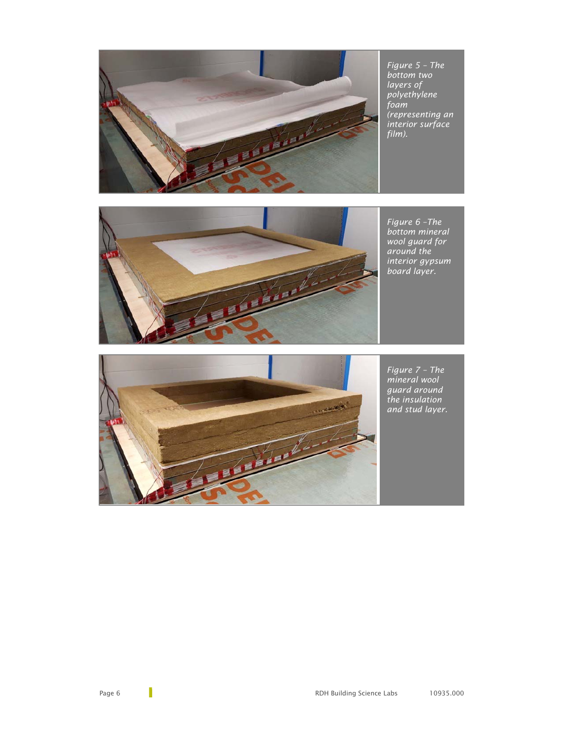

*Figure 5 – The bottom two layers of polyethylene foam (representing an interior surface film).*



*Figure 6 –The bottom mineral wool guard for around the interior gypsum board layer.*



*Figure 7 – The mineral wool guard around the insulation and stud layer.*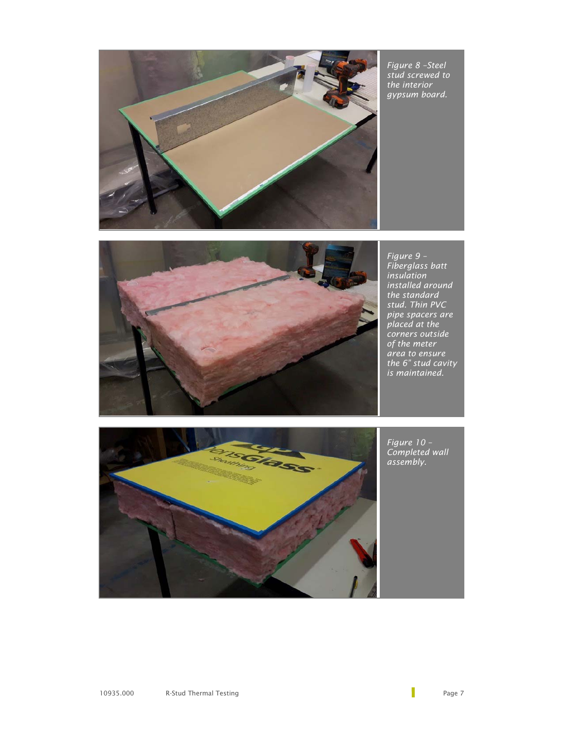*Figure 8 –Steel stud screwed to the interior gypsum board.*





*Figure 9 – Fiberglass batt insulation installed around the standard stud. Thin PVC pipe spacers are placed at the corners outside of the meter area to ensure the 6" stud cavity is maintained.* 



*Figure 10 – Completed wall assembly.*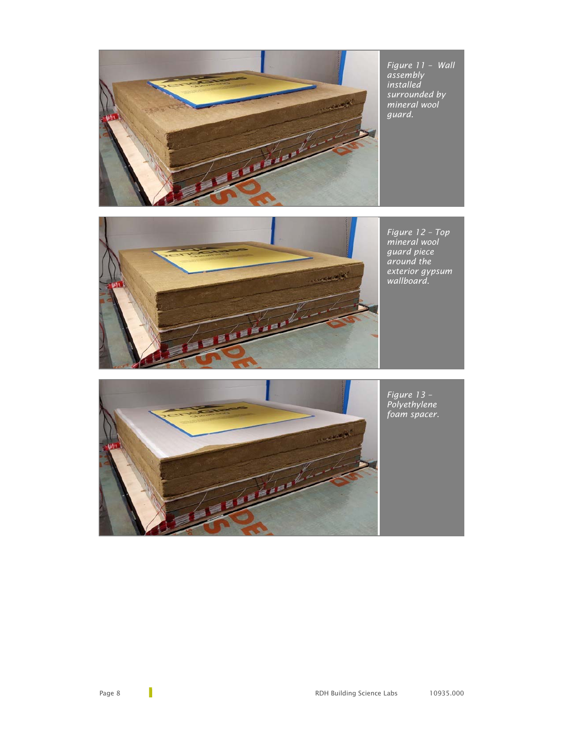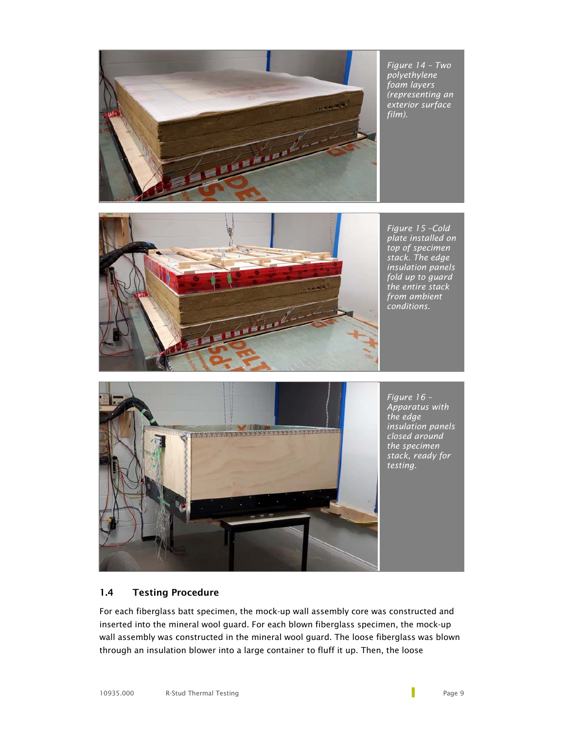

*Figure 14 – Two polyethylene foam layers (representing an exterior surface film).*



*Figure 15 –Cold plate installed on top of specimen stack. The edge insulation panels fold up to guard the entire stack from ambient conditions.*



*Figure 16 – Apparatus with the edge insulation panels closed around the specimen stack, ready for testing.*

### 1.4 Testing Procedure

For each fiberglass batt specimen, the mock-up wall assembly core was constructed and inserted into the mineral wool guard. For each blown fiberglass specimen, the mock-up wall assembly was constructed in the mineral wool guard. The loose fiberglass was blown through an insulation blower into a large container to fluff it up. Then, the loose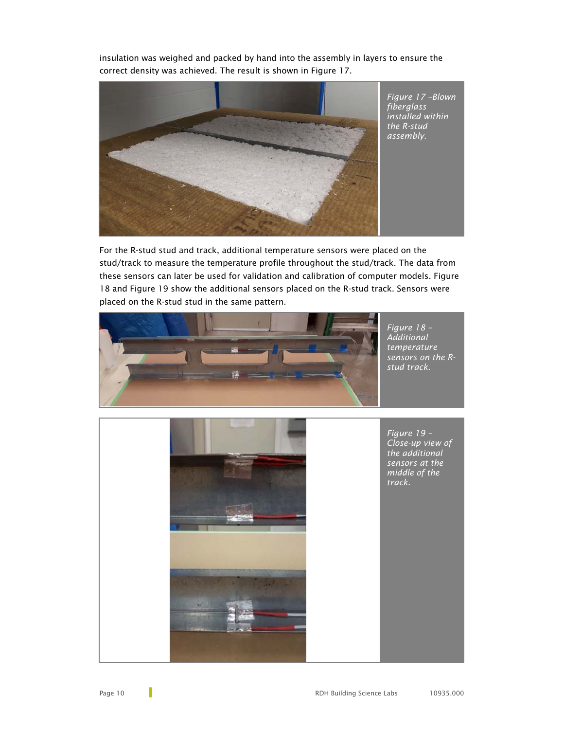insulation was weighed and packed by hand into the assembly in layers to ensure the correct density was achieved. The result is shown in Figure 17.



For the R-stud stud and track, additional temperature sensors were placed on the stud/track to measure the temperature profile throughout the stud/track. The data from these sensors can later be used for validation and calibration of computer models. Figure 18 and Figure 19 show the additional sensors placed on the R-stud track. Sensors were placed on the R-stud stud in the same pattern.



*Figure 18 – Additional temperature sensors on the Rstud track.*



*Figure 19 – Close-up view of the additional sensors at the middle of the track.*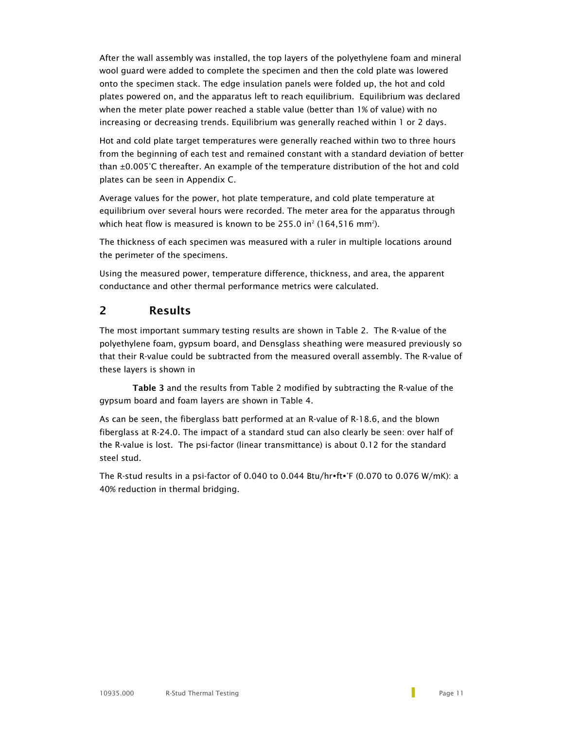After the wall assembly was installed, the top layers of the polyethylene foam and mineral wool guard were added to complete the specimen and then the cold plate was lowered onto the specimen stack. The edge insulation panels were folded up, the hot and cold plates powered on, and the apparatus left to reach equilibrium. Equilibrium was declared when the meter plate power reached a stable value (better than 1% of value) with no increasing or decreasing trends. Equilibrium was generally reached within 1 or 2 days.

Hot and cold plate target temperatures were generally reached within two to three hours from the beginning of each test and remained constant with a standard deviation of better than ±0.005°C thereafter. An example of the temperature distribution of the hot and cold plates can be seen in Appendix C.

Average values for the power, hot plate temperature, and cold plate temperature at equilibrium over several hours were recorded. The meter area for the apparatus through which heat flow is measured is known to be 255.0 in $^2$  (164,516 mm $^2$ ).

The thickness of each specimen was measured with a ruler in multiple locations around the perimeter of the specimens.

Using the measured power, temperature difference, thickness, and area, the apparent conductance and other thermal performance metrics were calculated.

## 2 Results

The most important summary testing results are shown in Table 2. The R-value of the polyethylene foam, gypsum board, and Densglass sheathing were measured previously so that their R-value could be subtracted from the measured overall assembly. The R-value of these layers is shown in

Table 3 and the results from Table 2 modified by subtracting the R-value of the gypsum board and foam layers are shown in Table 4.

As can be seen, the fiberglass batt performed at an R-value of R-18.6, and the blown fiberglass at R-24.0. The impact of a standard stud can also clearly be seen: over half of the R-value is lost. The psi-factor (linear transmittance) is about 0.12 for the standard steel stud.

The R-stud results in a psi-factor of 0.040 to 0.044 Btu/hr $\mathsf{rft} \cdot \mathsf{F}$  (0.070 to 0.076 W/mK): a 40% reduction in thermal bridging.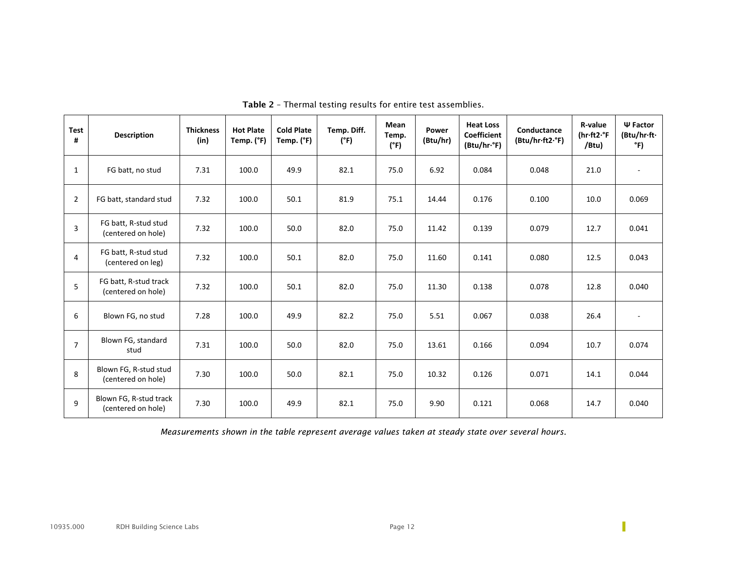| Test<br>#      | <b>Description</b>                           | <b>Thickness</b><br>(in) | <b>Hot Plate</b><br>Temp. (°F) | <b>Cold Plate</b><br>Temp. (°F) | Temp. Diff.<br>(°F) | Mean<br>Temp.<br>(°F) | Power<br>(Btu/hr) | <b>Heat Loss</b><br><b>Coefficient</b><br>(Btu/hr·°F) | Conductance<br>(Btu/hr·ft2·°F) | R-value<br>(hr.ft2.°F<br>/Btu) | $\Psi$ Factor<br>(Btu/hr·ft·<br>°F) |
|----------------|----------------------------------------------|--------------------------|--------------------------------|---------------------------------|---------------------|-----------------------|-------------------|-------------------------------------------------------|--------------------------------|--------------------------------|-------------------------------------|
| $\mathbf{1}$   | FG batt, no stud                             | 7.31                     | 100.0                          | 49.9                            | 82.1                | 75.0                  | 6.92              | 0.084                                                 | 0.048                          | 21.0                           |                                     |
| $\overline{2}$ | FG batt, standard stud                       | 7.32                     | 100.0                          | 50.1                            | 81.9                | 75.1                  | 14.44             | 0.176                                                 | 0.100                          | 10.0                           | 0.069                               |
| 3              | FG batt, R-stud stud<br>(centered on hole)   | 7.32                     | 100.0                          | 50.0                            | 82.0                | 75.0                  | 11.42             | 0.139                                                 | 0.079                          | 12.7                           | 0.041                               |
| $\overline{4}$ | FG batt, R-stud stud<br>(centered on leg)    | 7.32                     | 100.0                          | 50.1                            | 82.0                | 75.0                  | 11.60             | 0.141                                                 | 0.080                          | 12.5                           | 0.043                               |
| 5              | FG batt, R-stud track<br>(centered on hole)  | 7.32                     | 100.0                          | 50.1                            | 82.0                | 75.0                  | 11.30             | 0.138                                                 | 0.078                          | 12.8                           | 0.040                               |
| 6              | Blown FG, no stud                            | 7.28                     | 100.0                          | 49.9                            | 82.2                | 75.0                  | 5.51              | 0.067                                                 | 0.038                          | 26.4                           |                                     |
| $\overline{7}$ | Blown FG, standard<br>stud                   | 7.31                     | 100.0                          | 50.0                            | 82.0                | 75.0                  | 13.61             | 0.166                                                 | 0.094                          | 10.7                           | 0.074                               |
| 8              | Blown FG, R-stud stud<br>(centered on hole)  | 7.30                     | 100.0                          | 50.0                            | 82.1                | 75.0                  | 10.32             | 0.126                                                 | 0.071                          | 14.1                           | 0.044                               |
| 9              | Blown FG, R-stud track<br>(centered on hole) | 7.30                     | 100.0                          | 49.9                            | 82.1                | 75.0                  | 9.90              | 0.121                                                 | 0.068                          | 14.7                           | 0.040                               |

Table 2 – Thermal testing results for entire test assemblies.

*Measurements shown in the table represent average values taken at steady state over several hours.* 

П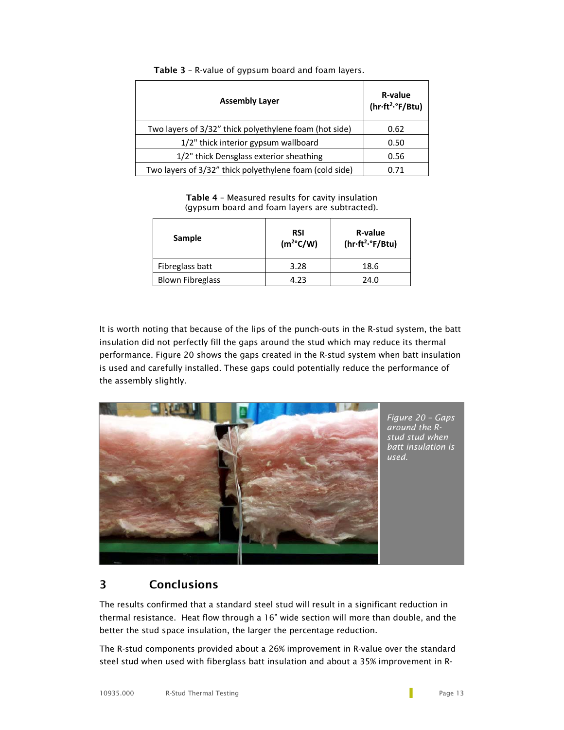| <b>Assembly Layer</b>                                   | R-value<br>(hr·ft <sup>2</sup> ·°F/Btu) |  |  |
|---------------------------------------------------------|-----------------------------------------|--|--|
| Two layers of 3/32" thick polyethylene foam (hot side)  | 0.62                                    |  |  |
| 1/2" thick interior gypsum wallboard                    | 0.50                                    |  |  |
| 1/2" thick Densglass exterior sheathing                 | 0.56                                    |  |  |
| Two layers of 3/32" thick polyethylene foam (cold side) | በ 71                                    |  |  |

Table 3 – R-value of gypsum board and foam layers.

Table 4 – Measured results for cavity insulation (gypsum board and foam layers are subtracted).

| Sample                  | <b>RSI</b><br>$(m^2C/W)$ | R-value<br>$(hr \cdot ft^2 \cdot e^c)$ F/Btu) |  |  |
|-------------------------|--------------------------|-----------------------------------------------|--|--|
| Fibreglass batt         | 3.28                     | 18.6                                          |  |  |
| <b>Blown Fibreglass</b> | 4.23                     | 24.0                                          |  |  |

It is worth noting that because of the lips of the punch-outs in the R-stud system, the batt insulation did not perfectly fill the gaps around the stud which may reduce its thermal performance. Figure 20 shows the gaps created in the R-stud system when batt insulation is used and carefully installed. These gaps could potentially reduce the performance of the assembly slightly.



## 3 Conclusions

The results confirmed that a standard steel stud will result in a significant reduction in thermal resistance. Heat flow through a 16" wide section will more than double, and the better the stud space insulation, the larger the percentage reduction.

The R-stud components provided about a 26% improvement in R-value over the standard steel stud when used with fiberglass batt insulation and about a 35% improvement in R-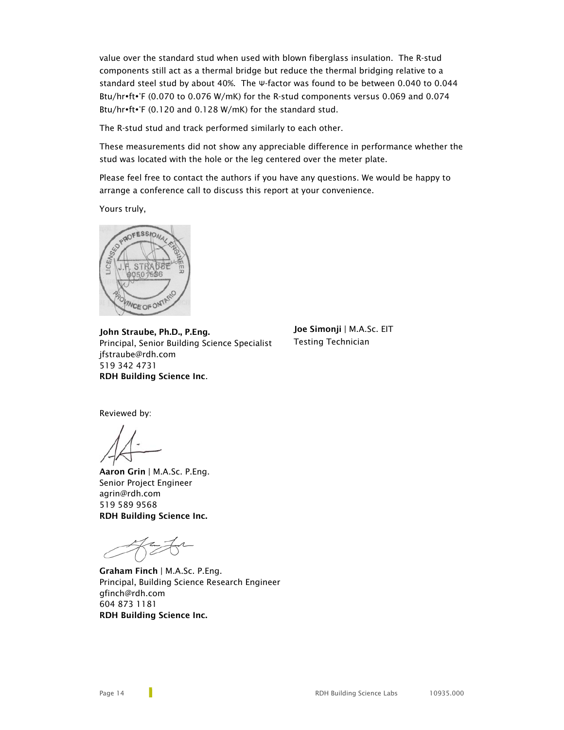value over the standard stud when used with blown fiberglass insulation. The R-stud components still act as a thermal bridge but reduce the thermal bridging relative to a standard steel stud by about 40%. The Ψ-factor was found to be between 0.040 to 0.044 Btu/hr•ft•°F (0.070 to 0.076 W/mK) for the R-stud components versus 0.069 and 0.074 Btu/hr $\cdot$ ft $\cdot$ °F (0.120 and 0.128 W/mK) for the standard stud.

The R-stud stud and track performed similarly to each other.

These measurements did not show any appreciable difference in performance whether the stud was located with the hole or the leg centered over the meter plate.

Please feel free to contact the authors if you have any questions. We would be happy to arrange a conference call to discuss this report at your convenience.

Yours truly,



John Straube, Ph.D., P.Eng. Principal, Senior Building Science Specialist jfstraube@rdh.com 519 342 4731 RDH Building Science Inc.

Joe Simonji | M.A.Sc. EIT Testing Technician

Reviewed by:

Aaron Grin | M.A.Sc. P.Eng. Senior Project Engineer agrin@rdh.com 519 589 9568 RDH Building Science Inc.

Graham Finch | M.A.Sc. P.Eng. Principal, Building Science Research Engineer gfinch@rdh.com 604 873 1181 RDH Building Science Inc.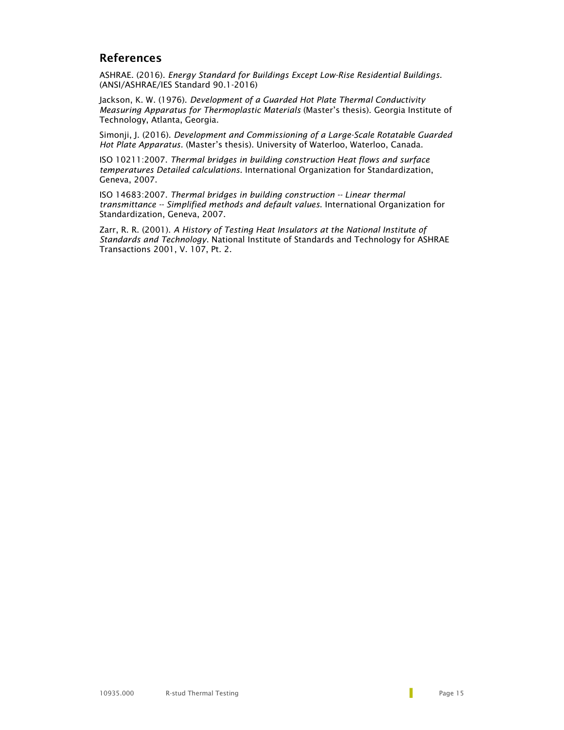## References

ASHRAE. (2016). *Energy Standard for Buildings Except Low-Rise Residential Buildings.* (ANSI/ASHRAE/IES Standard 90.1-2016)

Jackson, K. W. (1976). *Development of a Guarded Hot Plate Thermal Conductivity Measuring Apparatus for Thermoplastic Materials* (Master's thesis). Georgia Institute of Technology, Atlanta, Georgia.

Simonji, J. (2016). *Development and Commissioning of a Large-Scale Rotatable Guarded Hot Plate Apparatus.* (Master's thesis). University of Waterloo, Waterloo, Canada.

ISO 10211:2007. *Thermal bridges in building construction Heat flows and surface temperatures Detailed calculations*. International Organization for Standardization, Geneva, 2007.

ISO 14683:2007. *Thermal bridges in building construction -- Linear thermal transmittance -- Simplified methods and default values*. International Organization for Standardization, Geneva, 2007.

Zarr, R. R. (2001). *A History of Testing Heat Insulators at the National Institute of Standards and Technology*. National Institute of Standards and Technology for ASHRAE Transactions 2001, V. 107, Pt. 2.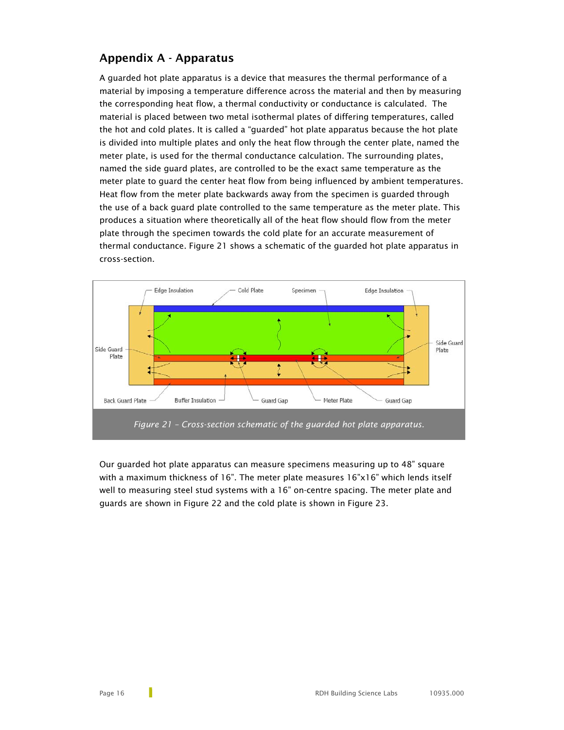## Appendix A - Apparatus

A guarded hot plate apparatus is a device that measures the thermal performance of a material by imposing a temperature difference across the material and then by measuring the corresponding heat flow, a thermal conductivity or conductance is calculated. The material is placed between two metal isothermal plates of differing temperatures, called the hot and cold plates. It is called a "guarded" hot plate apparatus because the hot plate is divided into multiple plates and only the heat flow through the center plate, named the meter plate, is used for the thermal conductance calculation. The surrounding plates, named the side guard plates, are controlled to be the exact same temperature as the meter plate to guard the center heat flow from being influenced by ambient temperatures. Heat flow from the meter plate backwards away from the specimen is guarded through the use of a back guard plate controlled to the same temperature as the meter plate. This produces a situation where theoretically all of the heat flow should flow from the meter plate through the specimen towards the cold plate for an accurate measurement of thermal conductance. Figure 21 shows a schematic of the guarded hot plate apparatus in cross-section.



Our guarded hot plate apparatus can measure specimens measuring up to 48" square with a maximum thickness of 16". The meter plate measures 16"x16" which lends itself well to measuring steel stud systems with a 16" on-centre spacing. The meter plate and guards are shown in Figure 22 and the cold plate is shown in Figure 23.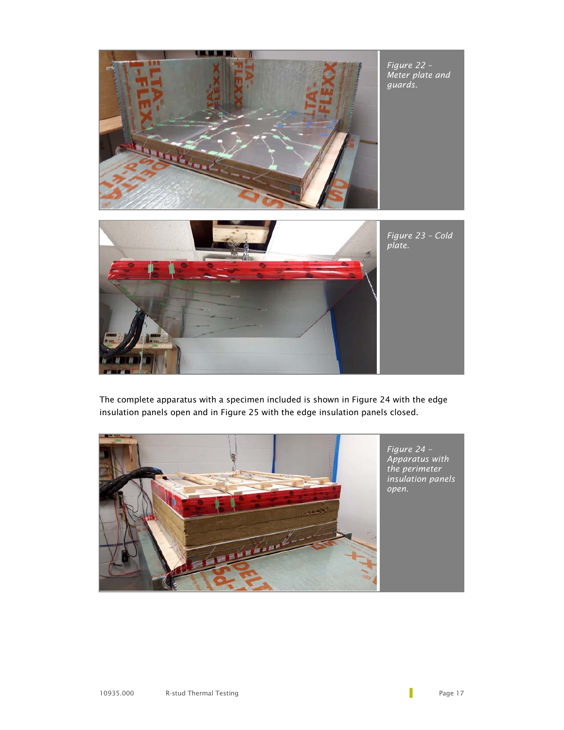

The complete apparatus with a specimen included is shown in Figure 24 with the edge insulation panels open and in Figure 25 with the edge insulation panels closed.

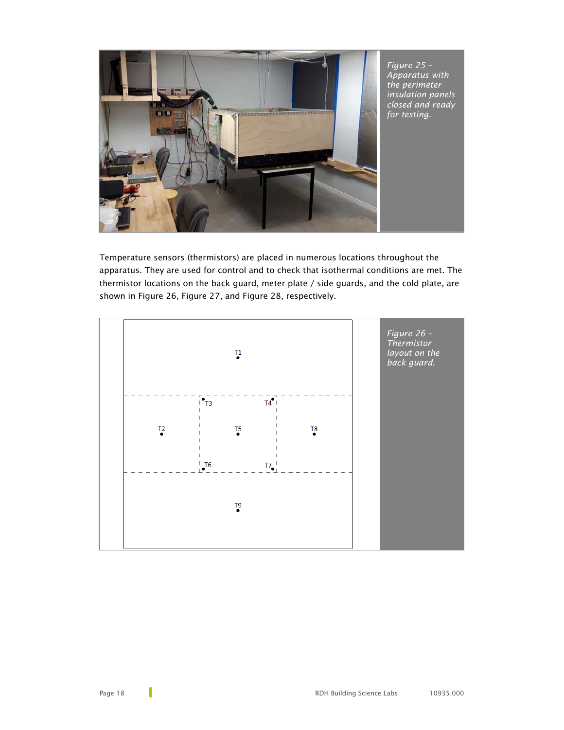

Temperature sensors (thermistors) are placed in numerous locations throughout the apparatus. They are used for control and to check that isothermal conditions are met. The thermistor locations on the back guard, meter plate / side guards, and the cold plate, are shown in Figure 26, Figure 27, and Figure 28, respectively.

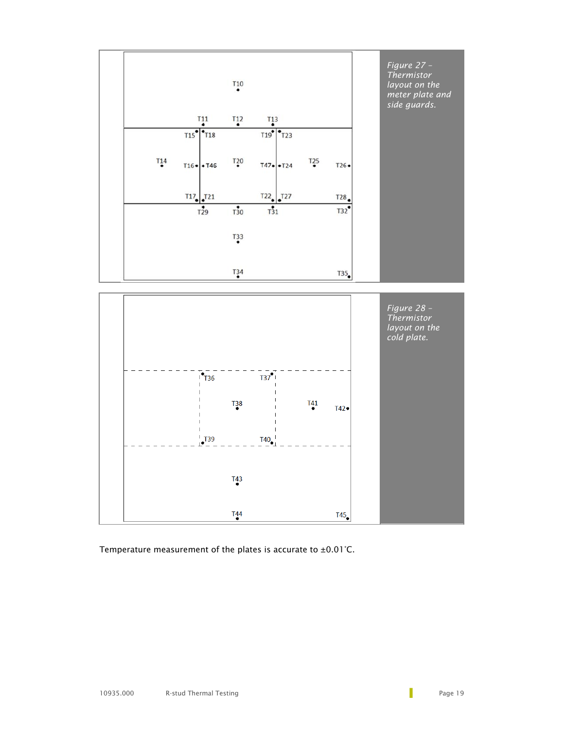

Temperature measurement of the plates is accurate to ±0.01°C.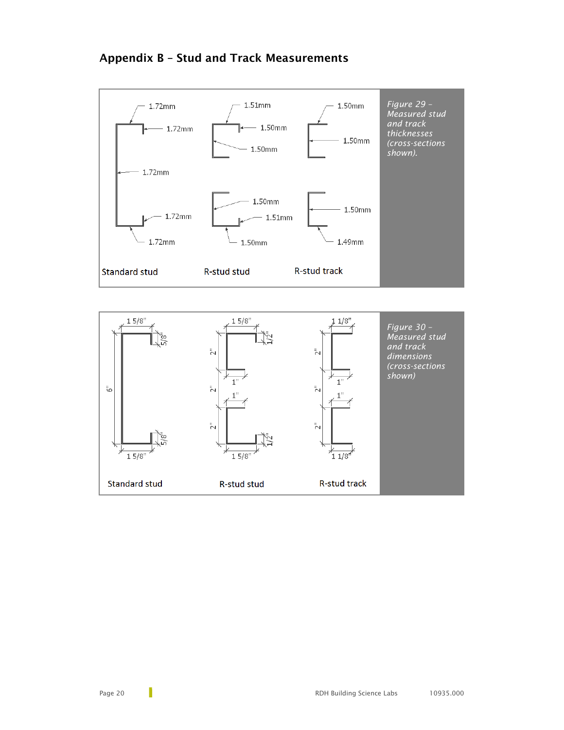# Appendix B – Stud and Track Measurements

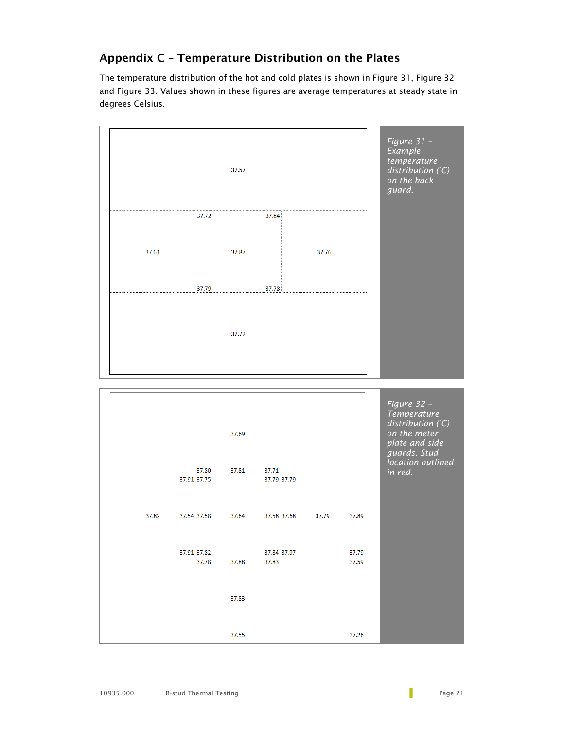# Appendix C – Temperature Distribution on the Plates

The temperature distribution of the hot and cold plates is shown in Figure 31, Figure 32 and Figure 33. Values shown in these figures are average temperatures at steady state in degrees Celsius.